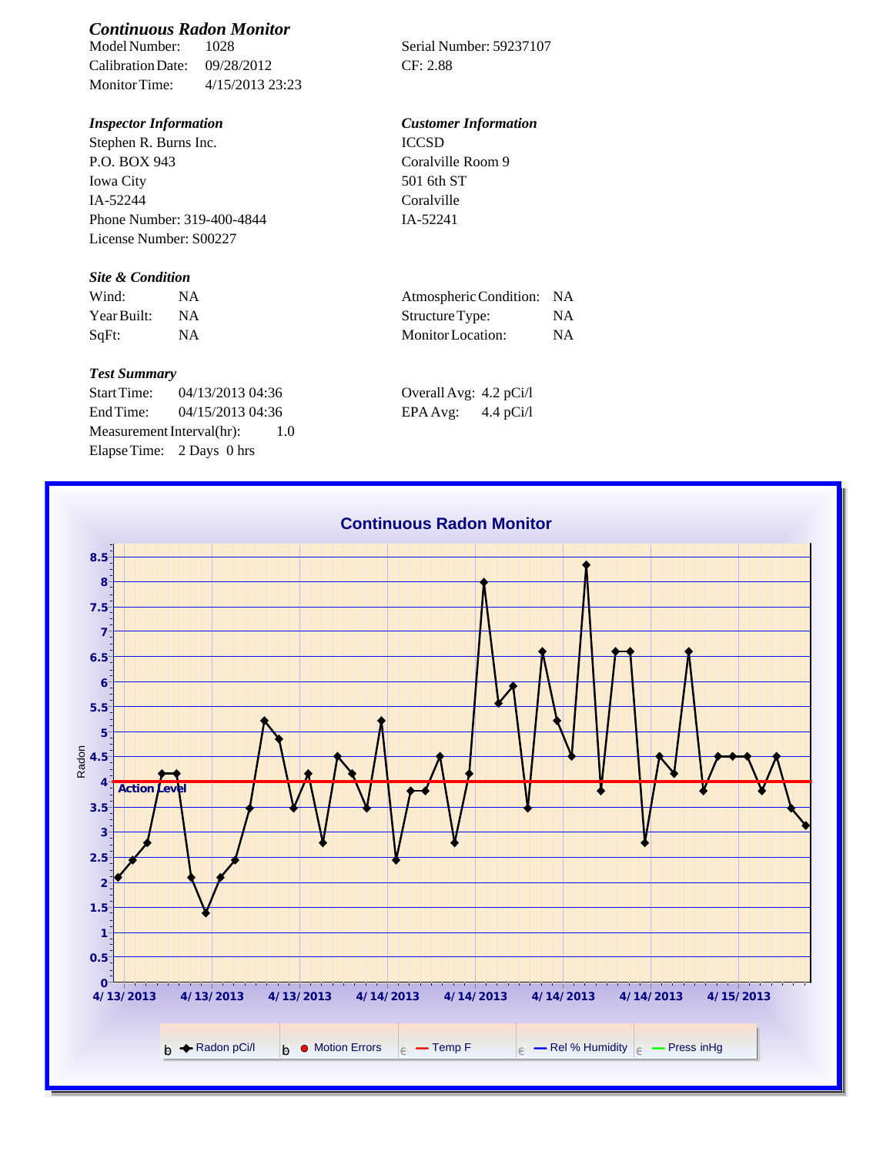# *Continuous Radon Monitor*

Calibration Date: 09/28/2012 CF: 2.88 Monitor Time: 4/15/2013 23:23

Stephen R. Burns Inc. P.O. BOX 943 Iowa City IA-52244 Phone Number: 319-400-4844 License Number: S00227

### *Site & Condition*

| Wind:       |           | Atmospheric Condition: NA |    |
|-------------|-----------|---------------------------|----|
| Year Built: | <b>NA</b> | Structure Type:           |    |
| $SqFt$ :    |           | Monitor Location:         | ΝA |

#### *Test Summary*

Start Time: 04/13/2013 04:36 End Time:  $04/15/2013$  04:36 Measurement Interval(hr): 1.0 Elapse Time: 2 Days 0 hrs

Serial Number: 59237107

# *Inspector Information Customer Information*

ICCSD Coralville Room 9 501 6th ST Coralville IA-52241

| Atmospheric Condition: | NA.       |
|------------------------|-----------|
| Structure Type:        | NA.       |
| Monitor Location:      | <b>NA</b> |

| Overall Avg: 4.2 pCi/l |             |
|------------------------|-------------|
| EPA Avg:               | 4.4 $pCi/l$ |

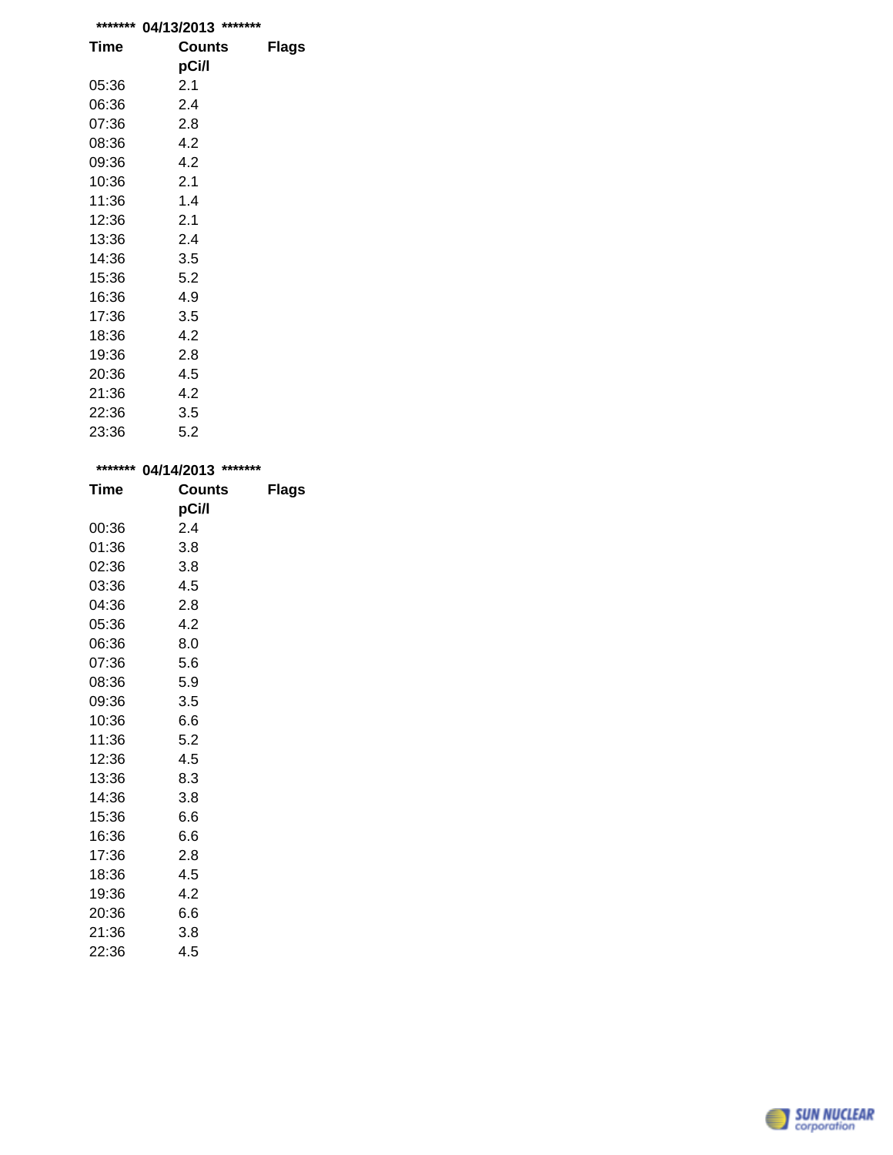| ******* | *******<br>04/13/2013 |              |
|---------|-----------------------|--------------|
| Time    | Counts                | <b>Flags</b> |
|         | pCi/l                 |              |
| 05:36   | 2.1                   |              |
| 06:36   | 2.4                   |              |
| 07:36   | 2.8                   |              |
| 08:36   | 4.2                   |              |
| 09:36   | 4.2                   |              |
| 10:36   | 2.1                   |              |
| 11:36   | 1.4                   |              |
| 12:36   | 2.1                   |              |
| 13:36   | 2.4                   |              |
| 14:36   | 3.5                   |              |
| 15:36   | 5.2                   |              |
| 16:36   | 4.9                   |              |
| 17:36   | 3.5                   |              |
| 18:36   | 4.2                   |              |
| 19:36   | 2.8                   |              |
| 20:36   | 4.5                   |              |
| 21:36   | 4.2                   |              |
| 22:36   | 3.5                   |              |
| 23:36   | 5.2                   |              |

| *******     | 04/14/2013 | *******      |  |
|-------------|------------|--------------|--|
| <b>Time</b> | Counts     | <b>Flags</b> |  |
|             | pCi/l      |              |  |
| 00:36       | 2.4        |              |  |
| 01:36       | 3.8        |              |  |
| 02:36       | 3.8        |              |  |
| 03:36       | 4.5        |              |  |
| 04:36       | 2.8        |              |  |
| 05:36       | 4.2        |              |  |
| 06:36       | 8.0        |              |  |
| 07:36       | 5.6        |              |  |
| 08:36       | 5.9        |              |  |
| 09:36       | 3.5        |              |  |
| 10:36       | 6.6        |              |  |
| 11:36       | 5.2        |              |  |
| 12:36       | 4.5        |              |  |
| 13:36       | 8.3        |              |  |
| 14:36       | 3.8        |              |  |
| 15:36       | 6.6        |              |  |
| 16:36       | 6.6        |              |  |
| 17:36       | 2.8        |              |  |
| 18:36       | 4.5        |              |  |
| 19:36       | 4.2        |              |  |
| 20:36       | 6.6        |              |  |
| 21:36       | 3.8        |              |  |
| 22:36       | 4.5        |              |  |